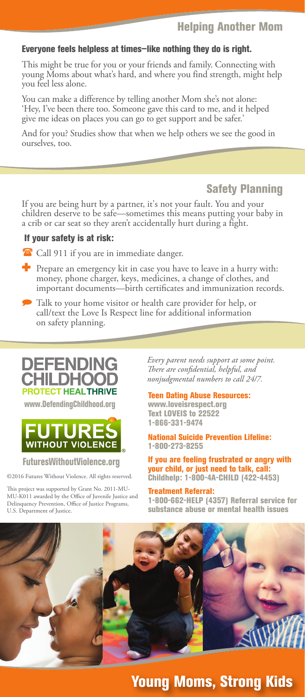### Helping Another Mom

#### Everyone feels helpless at times—like nothing they do is right.

This might be true for you or your friends and family. Connecting with young Moms about what's hard, and where you find strength, might help you feel less alone.

You can make a difference by telling another Mom she's not alone: 'Hey, I've been there too. Someone gave this card to me, and it helped give me ideas on places you can go to get support and be safer.'

And for you? Studies show that when we help others we see the good in ourselves, too.

## Safety Planning

If you are being hurt by a partner, it's not your fault. You and your children deserve to be safe—sometimes this means putting your baby in a crib or car seat so they aren't accidentally hurt during a fight.

#### If your safety is at risk:

<sup>2</sup> Call 911 if you are in immediate danger.

- $\blacksquare$  Prepare an emergency kit in case you have to leave in a hurry with: money, phone charger, keys, medicines, a change of clothes, and important documents—birth certificates and immunization records.
- Talk to your home visitor or health care provider for help, or call/text the Love Is Respect line for additional information on safety planning.



www.DefendingChildhood.org



#### FuturesWithoutViolence.org

©2016 Futures Without Violence. All rights reserved.

This project was supported by Grant No. 2011-MU-MU-K011 awarded by the Office of Juvenile Justice and Delinquency Prevention, Office of Justice Programs, U.S. Department of Justice.

*Every parent needs support at some point. There are confidential, helpful, and nonjudgmental numbers to call 24/7.*

Teen Dating Abuse Resources: www.loveisrespect.org

Text LOVEIS to 22522 1-866-331-9474

National Suicide Prevention Lifeline: 1-800-273-8255

If you are feeling frustrated or angry with your child, or just need to talk, call: Childhelp: 1-800-4A-CHILD (422-4453)

Treatment Referral: 1-800-662-HELP (4357) Referral service for substance abuse or mental health issues



## Young Moms, Strong Kids